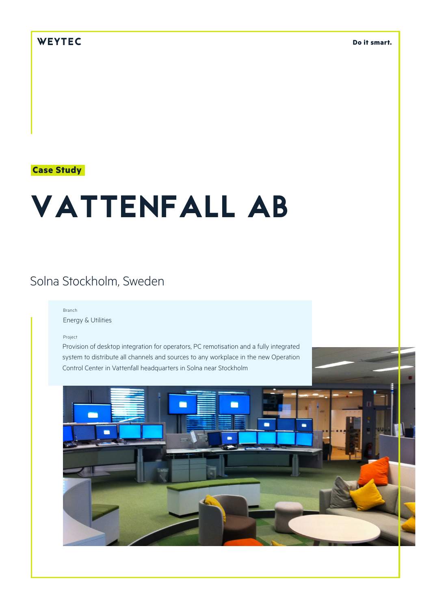## WEYTEC

**Do it smart.**

### **Case Study**

# VATTENFALL AB

# Solna Stockholm, Sweden

#### Branch

Energy & Utilities

Project

Provision of desktop integration for operators, PC remotisation and a fully integrated system to distribute all channels and sources to any workplace in the new Operation Control Center in Vattenfall headquarters in Solna near Stockholm

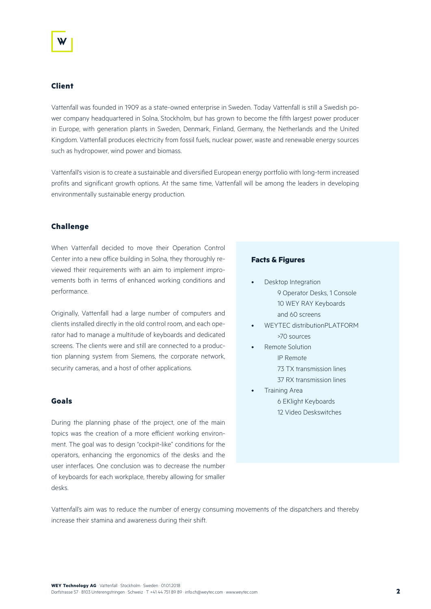#### **Client**

Vattenfall was founded in 1909 as a state-owned enterprise in Sweden. Today Vattenfall is still a Swedish power company headquartered in Solna, Stockholm, but has grown to become the fifth largest power producer in Europe, with generation plants in Sweden, Denmark, Finland, Germany, the Netherlands and the United Kingdom. Vattenfall produces electricity from fossil fuels, nuclear power, waste and renewable energy sources such as hydropower, wind power and biomass.

Vattenfall's vision is to create a sustainable and diversified European energy portfolio with long-term increased profits and significant growth options. At the same time, Vattenfall will be among the leaders in developing environmentally sustainable energy production.

#### **Challenge**

When Vattenfall decided to move their Operation Control Center into a new office building in Solna, they thoroughly reviewed their requirements with an aim to implement improvements both in terms of enhanced working conditions and performance.

Originally, Vattenfall had a large number of computers and clients installed directly in the old control room, and each operator had to manage a multitude of keyboards and dedicated screens. The clients were and still are connected to a production planning system from Siemens, the corporate network, security cameras, and a host of other applications.

#### **Goals**

During the planning phase of the project, one of the main topics was the creation of a more efficient working environment. The goal was to design "cockpit-like" conditions for the operators, enhancing the ergonomics of the desks and the user interfaces. One conclusion was to decrease the number of keyboards for each workplace, thereby allowing for smaller desks.

#### **Facts & Figures**

- Desktop Integration 9 Operator Desks, 1 Console 10 WEY RAY Keyboards and 60 screens
- WEYTEC distributionPLATFORM >70 sources
- Remote Solution IP Remote 73 TX transmission lines
	- 37 RX transmission lines
- Training Area 6 EKlight Keyboards 12 Video Deskswitches

Vattenfall's aim was to reduce the number of energy consuming movements of the dispatchers and thereby increase their stamina and awareness during their shift.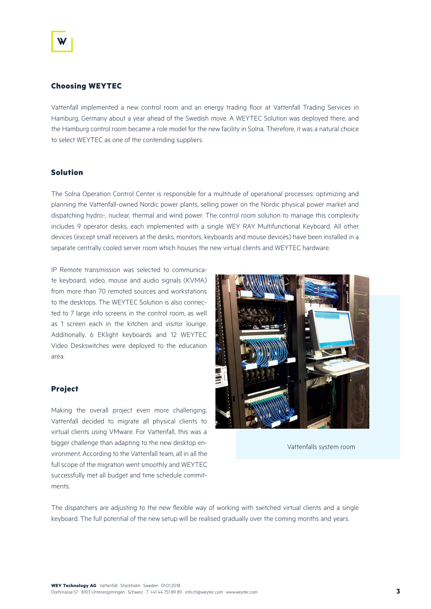#### **Choosing WEYTEC**

Vattenfall implemented a new control room and an energy trading floor at Vattenfall Trading Services in Hamburg, Germany about a year ahead of the Swedish move. A WEYTEC Solution was deployed there, and the Hamburg control room became a role model for the new facility in Solna. Therefore, it was a natural choice to select WEYTEC as one of the contending suppliers.

#### **Solution**

The Solna Operation Control Center is responsible for a multitude of operational processes: optimizing and planning the Vattenfall-owned Nordic power plants, selling power on the Nordic physical power market and dispatching hydro-, nuclear, thermal and wind power. The control room solution to manage this complexity includes 9 operator desks, each implemented with a single WEY RAY Multifunctional Keyboard. All other devices (except small receivers at the desks, monitors, keyboards and mouse devices) have been installed in a separate centrally cooled server room which houses the new virtual clients and WEYTEC hardware.

IP Remote transmission was selected to communicate keyboard, video, mouse and audio signals (KVMA) from more than 70 remoted sources and workstations to the desktops. The WEYTEC Solution is also connected to 7 large info screens in the control room, as well as 1 screen each in the kitchen and visitor lounge. Additionally, 6 EKlight keyboards and 12 WEYTEC Video Deskswitches were deployed to the education area.

#### **Project**

Making the overall project even more challenging, Vattenfall decided to migrate all physical clients to virtual clients using VMware. For Vattenfall, this was a bigger challenge than adapting to the new desktop environment. According to the Vattenfall team, all in all the full scope of the migration went smoothly and WEYTEC successfully met all budget and time schedule commitments.



Vattenfalls system room

The dispatchers are adjusting to the new flexible way of working with switched virtual clients and a single keyboard. The full potential of the new setup will be realised gradually over the coming months and years.